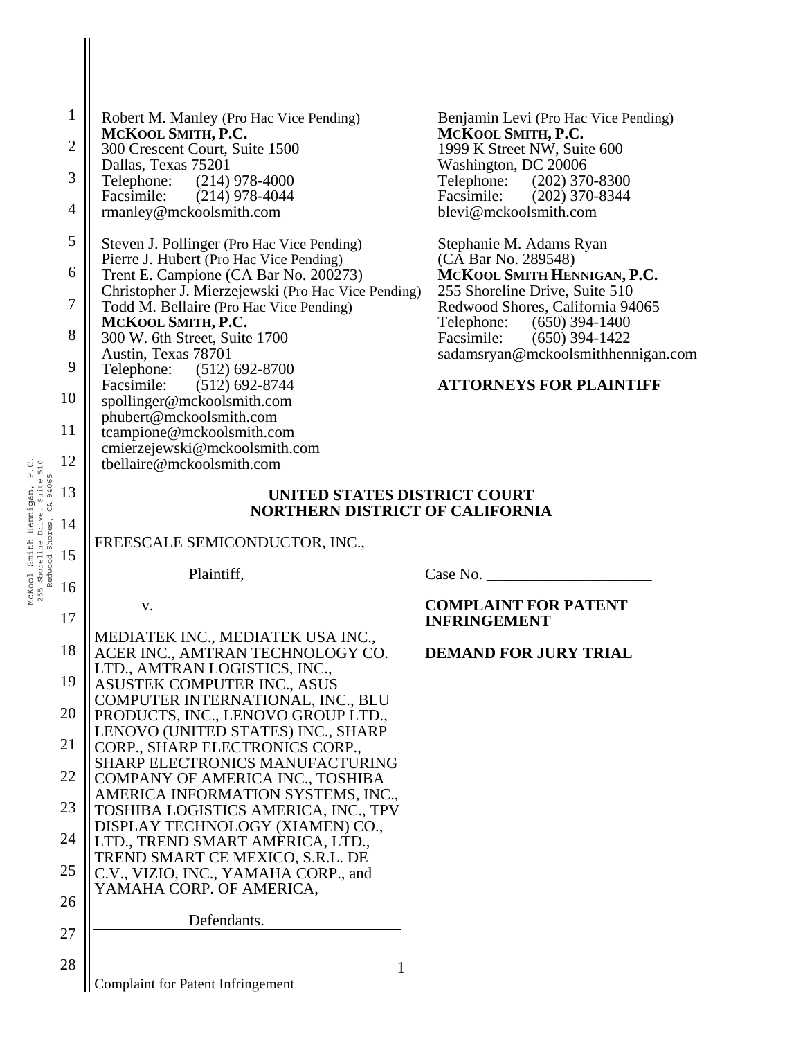|                                                                                         | $\mathbf{1}$<br>$\overline{2}$ | Robert M. Manley (Pro Hac Vice Pending)<br>MCKOOL SMITH, P.C.<br>300 Crescent Court, Suite 1500                     | Benjamin Levi (Pro Hac Vice Pending)<br>MCKOOL SMITH, P.C.<br>1999 K Street NW, Suite 600            |  |  |
|-----------------------------------------------------------------------------------------|--------------------------------|---------------------------------------------------------------------------------------------------------------------|------------------------------------------------------------------------------------------------------|--|--|
|                                                                                         | 3                              | Dallas, Texas 75201<br>Telephone: (214) 978-4000                                                                    | Washington, DC 20006<br>Telephone: (202) 370-8300                                                    |  |  |
|                                                                                         | $\overline{4}$                 | Facsimile: (214) 978-4044<br>rmanley@mckoolsmith.com                                                                | Facsimile: (202) 370-8344<br>blevi@mckoolsmith.com                                                   |  |  |
|                                                                                         | 5                              | Steven J. Pollinger (Pro Hac Vice Pending)                                                                          | Stephanie M. Adams Ryan                                                                              |  |  |
|                                                                                         | 6                              | Pierre J. Hubert (Pro Hac Vice Pending)<br>Trent E. Campione (CA Bar No. 200273)                                    | (CA Bar No. 289548)<br>MCKOOL SMITH HENNIGAN, P.C.                                                   |  |  |
|                                                                                         | 7                              | Christopher J. Mierzejewski (Pro Hac Vice Pending)<br>Todd M. Bellaire (Pro Hac Vice Pending)<br>MCKOOL SMITH, P.C. | 255 Shoreline Drive, Suite 510<br>Redwood Shores, California 94065<br>Telephone:<br>$(650)$ 394-1400 |  |  |
|                                                                                         | 8                              | 300 W. 6th Street, Suite 1700<br>Austin, Texas 78701                                                                | Facsimile: (650) 394-1422<br>sadamsryan@mckoolsmithhennigan.com                                      |  |  |
|                                                                                         | 9                              | Telephone: (512) 692-8700                                                                                           | <b>ATTORNEYS FOR PLAINTIFF</b>                                                                       |  |  |
|                                                                                         | 10                             | Facsimile: (512) 692-8744<br>spollinger@mckoolsmith.com                                                             |                                                                                                      |  |  |
|                                                                                         | 11                             | phubert@mckoolsmith.com<br>tcampione@mckoolsmith.com                                                                |                                                                                                      |  |  |
|                                                                                         | 12                             | cmierzejewski@mckoolsmith.com<br>tbellaire@mckoolsmith.com                                                          |                                                                                                      |  |  |
| gan, P.C.<br>Suite 510<br>94065                                                         | 13                             | UNITED STATES DISTRICT COURT<br><b>NORTHERN DISTRICT OF CALIFORNIA</b>                                              |                                                                                                      |  |  |
| Hennigan<br>JOL Suns.<br>Shoreline Drive, S<br>" "hores, CA<br>Redwood Shores,<br>Smith | 14                             |                                                                                                                     |                                                                                                      |  |  |
|                                                                                         | 15                             | FREESCALE SEMICONDUCTOR, INC.,                                                                                      |                                                                                                      |  |  |
| McKool<br>255 Sho                                                                       | 16                             | Plaintiff,                                                                                                          | Case No.                                                                                             |  |  |
|                                                                                         | 17                             | V.                                                                                                                  | <b>COMPLAINT FOR PATENT</b><br><b>INFRINGEMENT</b>                                                   |  |  |
|                                                                                         | 18                             | MEDIATEK INC., MEDIATEK USA INC.,<br>ACER INC., AMTRAN TECHNOLOGY CO.                                               | <b>DEMAND FOR JURY TRIAL</b>                                                                         |  |  |
|                                                                                         | 19                             | LTD., AMTRAN LOGISTICS, INC.,<br>ASUSTEK COMPUTER INC., ASUS                                                        |                                                                                                      |  |  |
|                                                                                         | 20                             | COMPUTER INTERNATIONAL, INC., BLU                                                                                   |                                                                                                      |  |  |
|                                                                                         | 21                             | PRODUCTS, INC., LENOVO GROUP LTD.,<br>LENOVO (UNITED STATES) INC., SHARP                                            |                                                                                                      |  |  |
|                                                                                         |                                | CORP., SHARP ELECTRONICS CORP.,<br><b>SHARP ELECTRONICS MANUFACTURING</b>                                           |                                                                                                      |  |  |
|                                                                                         | 22                             | COMPANY OF AMERICA INC., TOSHIBA<br>AMERICA INFORMATION SYSTEMS, INC.,                                              |                                                                                                      |  |  |
|                                                                                         | 23                             | TOSHIBA LOGISTICS AMERICA, INC., TPV<br>DISPLAY TECHNOLOGY (XIAMEN) CO.,                                            |                                                                                                      |  |  |
|                                                                                         | 24                             | LTD., TREND SMART AMERICA, LTD.,<br>TREND SMART CE MEXICO, S.R.L. DE                                                |                                                                                                      |  |  |
|                                                                                         | 25                             | C.V., VIZIO, INC., YAMAHA CORP., and<br>YAMAHA CORP. OF AMERICA,                                                    |                                                                                                      |  |  |
|                                                                                         | 26                             | Defendants.                                                                                                         |                                                                                                      |  |  |
|                                                                                         | 27                             |                                                                                                                     |                                                                                                      |  |  |
|                                                                                         | 28                             | 1                                                                                                                   |                                                                                                      |  |  |
|                                                                                         |                                | <b>Complaint for Patent Infringement</b>                                                                            |                                                                                                      |  |  |

 $\mathsf{l}$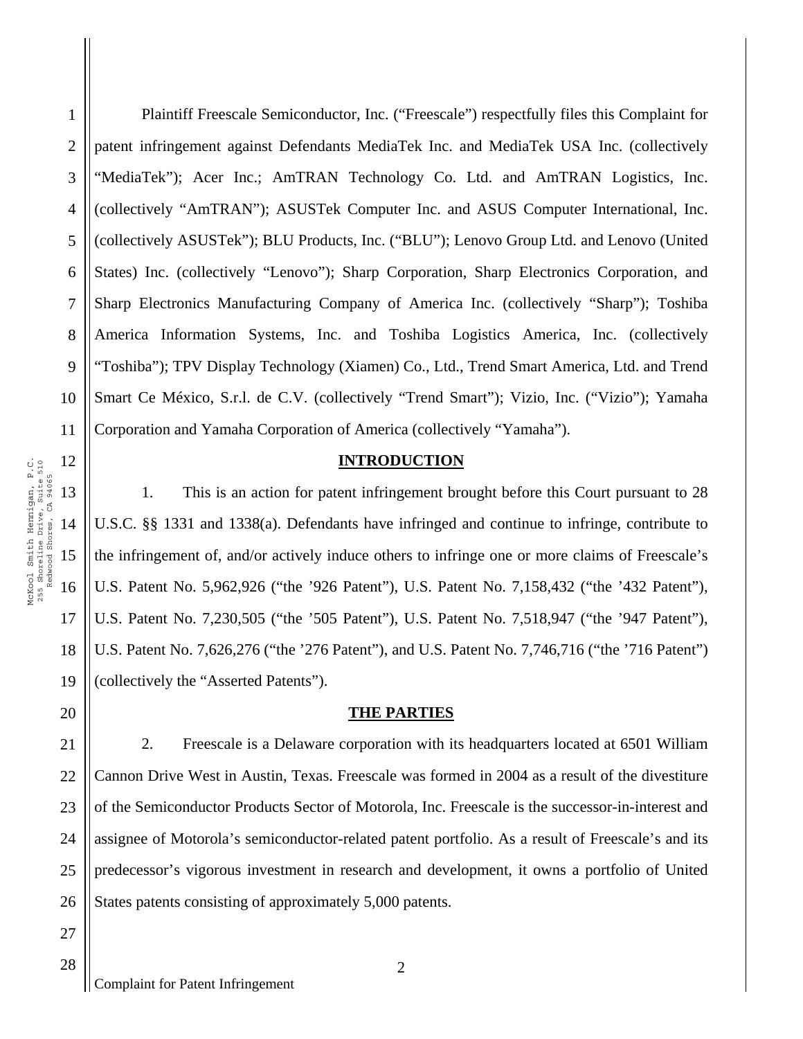17

18

19

20

1

2

3

5

7

8

9

10

4 6 Plaintiff Freescale Semiconductor, Inc. ("Freescale") respectfully files this Complaint for patent infringement against Defendants MediaTek Inc. and MediaTek USA Inc. (collectively "MediaTek"); Acer Inc.; AmTRAN Technology Co. Ltd. and AmTRAN Logistics, Inc. (collectively "AmTRAN"); ASUSTek Computer Inc. and ASUS Computer International, Inc. (collectively ASUSTek"); BLU Products, Inc. ("BLU"); Lenovo Group Ltd. and Lenovo (United States) Inc. (collectively "Lenovo"); Sharp Corporation, Sharp Electronics Corporation, and Sharp Electronics Manufacturing Company of America Inc. (collectively "Sharp"); Toshiba America Information Systems, Inc. and Toshiba Logistics America, Inc. (collectively "Toshiba"); TPV Display Technology (Xiamen) Co., Ltd., Trend Smart America, Ltd. and Trend Smart Ce México, S.r.l. de C.V. (collectively "Trend Smart"); Vizio, Inc. ("Vizio"); Yamaha Corporation and Yamaha Corporation of America (collectively "Yamaha").

#### **INTRODUCTION**

1. This is an action for patent infringement brought before this Court pursuant to 28 U.S.C. §§ 1331 and 1338(a). Defendants have infringed and continue to infringe, contribute to the infringement of, and/or actively induce others to infringe one or more claims of Freescale's U.S. Patent No. 5,962,926 ("the '926 Patent"), U.S. Patent No. 7,158,432 ("the '432 Patent"), U.S. Patent No. 7,230,505 ("the '505 Patent"), U.S. Patent No. 7,518,947 ("the '947 Patent"), U.S. Patent No. 7,626,276 ("the '276 Patent"), and U.S. Patent No. 7,746,716 ("the '716 Patent") (collectively the "Asserted Patents").

#### **THE PARTIES**

21 22 23 24 25 26 2. Freescale is a Delaware corporation with its headquarters located at 6501 William Cannon Drive West in Austin, Texas. Freescale was formed in 2004 as a result of the divestiture of the Semiconductor Products Sector of Motorola, Inc. Freescale is the successor-in-interest and assignee of Motorola's semiconductor-related patent portfolio. As a result of Freescale's and its predecessor's vigorous investment in research and development, it owns a portfolio of United States patents consisting of approximately 5,000 patents.

28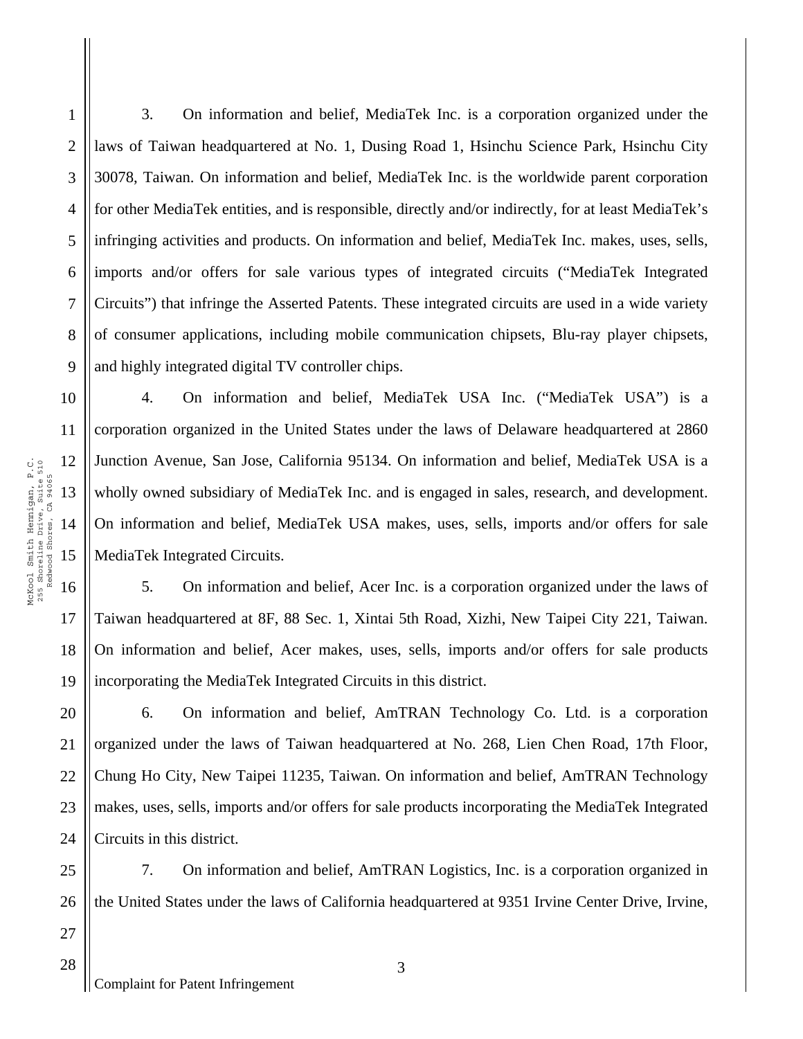3. On information and belief, MediaTek Inc. is a corporation organized under the laws of Taiwan headquartered at No. 1, Dusing Road 1, Hsinchu Science Park, Hsinchu City 30078, Taiwan. On information and belief, MediaTek Inc. is the worldwide parent corporation for other MediaTek entities, and is responsible, directly and/or indirectly, for at least MediaTek's infringing activities and products. On information and belief, MediaTek Inc. makes, uses, sells, imports and/or offers for sale various types of integrated circuits ("MediaTek Integrated Circuits") that infringe the Asserted Patents. These integrated circuits are used in a wide variety of consumer applications, including mobile communication chipsets, Blu-ray player chipsets, and highly integrated digital TV controller chips.

4. On information and belief, MediaTek USA Inc. ("MediaTek USA") is a corporation organized in the United States under the laws of Delaware headquartered at 2860 Junction Avenue, San Jose, California 95134. On information and belief, MediaTek USA is a wholly owned subsidiary of MediaTek Inc. and is engaged in sales, research, and development. On information and belief, MediaTek USA makes, uses, sells, imports and/or offers for sale MediaTek Integrated Circuits.

5. On information and belief, Acer Inc. is a corporation organized under the laws of Taiwan headquartered at 8F, 88 Sec. 1, Xintai 5th Road, Xizhi, New Taipei City 221, Taiwan. On information and belief, Acer makes, uses, sells, imports and/or offers for sale products incorporating the MediaTek Integrated Circuits in this district.

20 21 22 23 24 6. On information and belief, AmTRAN Technology Co. Ltd. is a corporation organized under the laws of Taiwan headquartered at No. 268, Lien Chen Road, 17th Floor, Chung Ho City, New Taipei 11235, Taiwan. On information and belief, AmTRAN Technology makes, uses, sells, imports and/or offers for sale products incorporating the MediaTek Integrated Circuits in this district.

26 7. On information and belief, AmTRAN Logistics, Inc. is a corporation organized in the United States under the laws of California headquartered at 9351 Irvine Center Drive, Irvine,

1

2

3

4

5

6

7

8

9

10

11

17

18

19

25

27

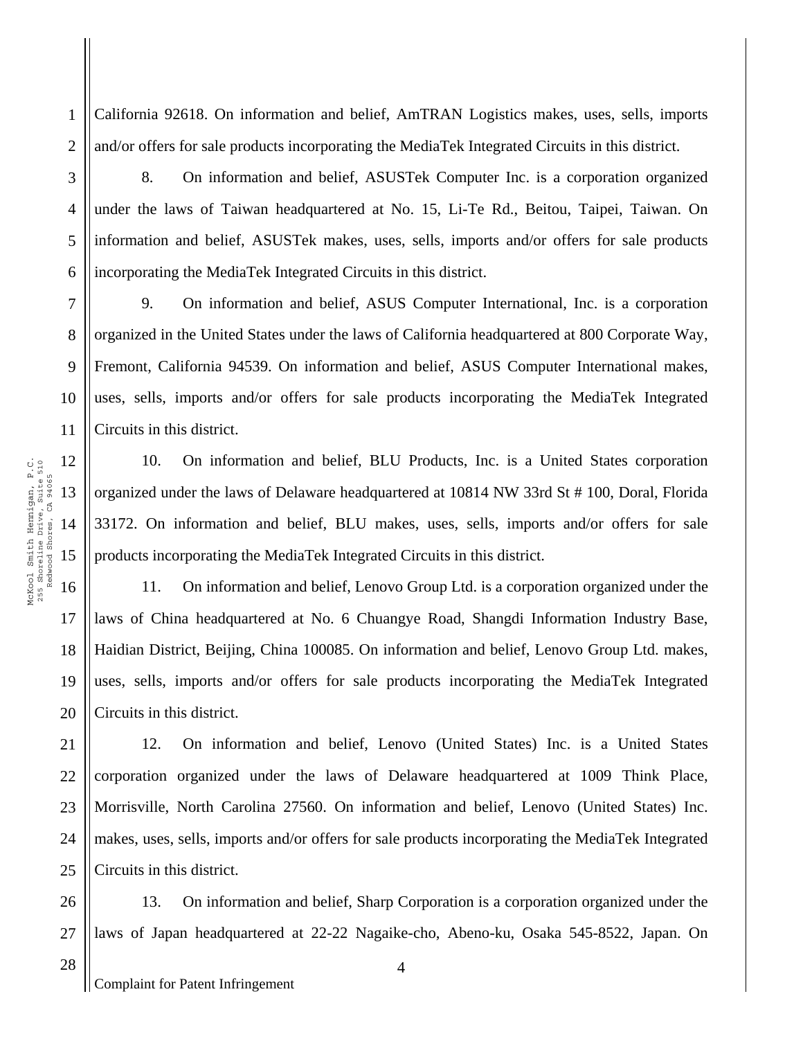California 92618. On information and belief, AmTRAN Logistics makes, uses, sells, imports and/or offers for sale products incorporating the MediaTek Integrated Circuits in this district.

3 4

5

6

1

2

8. On information and belief, ASUSTek Computer Inc. is a corporation organized under the laws of Taiwan headquartered at No. 15, Li-Te Rd., Beitou, Taipei, Taiwan. On information and belief, ASUSTek makes, uses, sells, imports and/or offers for sale products incorporating the MediaTek Integrated Circuits in this district.

7 8 9 10 11 9. On information and belief, ASUS Computer International, Inc. is a corporation organized in the United States under the laws of California headquartered at 800 Corporate Way, Fremont, California 94539. On information and belief, ASUS Computer International makes, uses, sells, imports and/or offers for sale products incorporating the MediaTek Integrated Circuits in this district.

10. On information and belief, BLU Products, Inc. is a United States corporation organized under the laws of Delaware headquartered at 10814 NW 33rd St # 100, Doral, Florida 33172. On information and belief, BLU makes, uses, sells, imports and/or offers for sale products incorporating the MediaTek Integrated Circuits in this district.

18 19 20 11. On information and belief, Lenovo Group Ltd. is a corporation organized under the laws of China headquartered at No. 6 Chuangye Road, Shangdi Information Industry Base, Haidian District, Beijing, China 100085. On information and belief, Lenovo Group Ltd. makes, uses, sells, imports and/or offers for sale products incorporating the MediaTek Integrated Circuits in this district.

25 12. On information and belief, Lenovo (United States) Inc. is a United States corporation organized under the laws of Delaware headquartered at 1009 Think Place, Morrisville, North Carolina 27560. On information and belief, Lenovo (United States) Inc. makes, uses, sells, imports and/or offers for sale products incorporating the MediaTek Integrated Circuits in this district.

13. On information and belief, Sharp Corporation is a corporation organized under the laws of Japan headquartered at 22-22 Nagaike-cho, Abeno-ku, Osaka 545-8522, Japan. On

17

21

22

23

24

26

27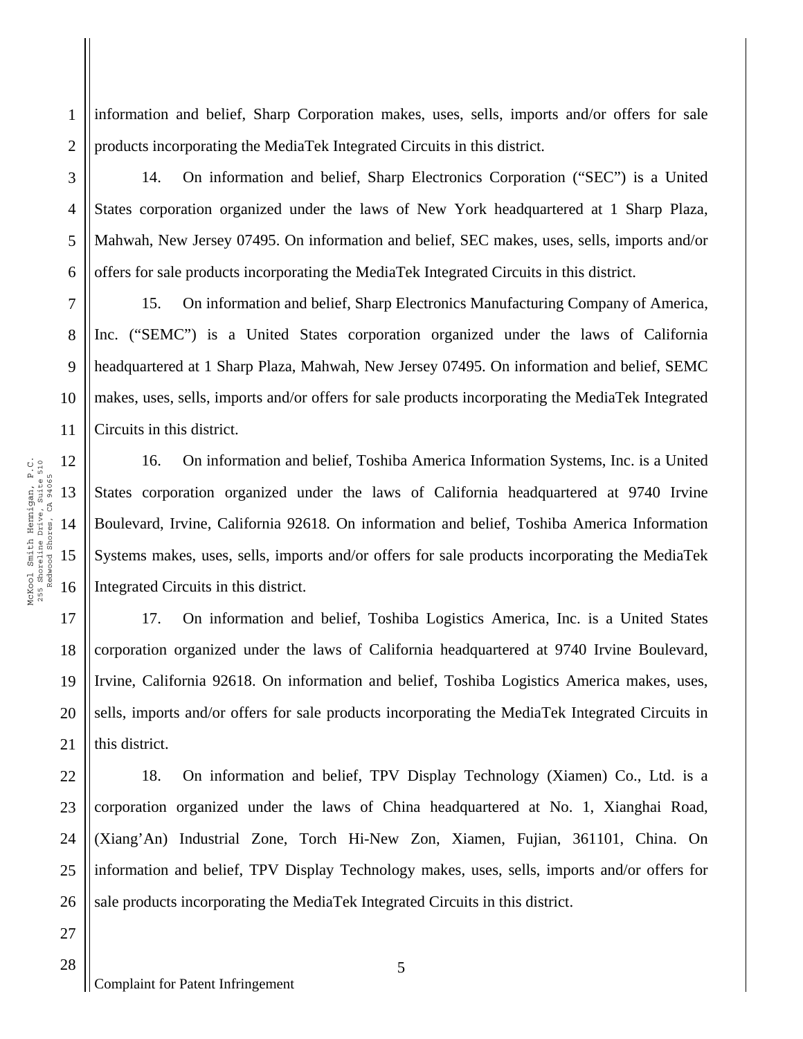information and belief, Sharp Corporation makes, uses, sells, imports and/or offers for sale products incorporating the MediaTek Integrated Circuits in this district.

14. On information and belief, Sharp Electronics Corporation ("SEC") is a United States corporation organized under the laws of New York headquartered at 1 Sharp Plaza, Mahwah, New Jersey 07495. On information and belief, SEC makes, uses, sells, imports and/or offers for sale products incorporating the MediaTek Integrated Circuits in this district.

7 8 9 10 11 15. On information and belief, Sharp Electronics Manufacturing Company of America, Inc. ("SEMC") is a United States corporation organized under the laws of California headquartered at 1 Sharp Plaza, Mahwah, New Jersey 07495. On information and belief, SEMC makes, uses, sells, imports and/or offers for sale products incorporating the MediaTek Integrated Circuits in this district.

16. On information and belief, Toshiba America Information Systems, Inc. is a United States corporation organized under the laws of California headquartered at 9740 Irvine Boulevard, Irvine, California 92618. On information and belief, Toshiba America Information Systems makes, uses, sells, imports and/or offers for sale products incorporating the MediaTek Integrated Circuits in this district.

18 19 17. On information and belief, Toshiba Logistics America, Inc. is a United States corporation organized under the laws of California headquartered at 9740 Irvine Boulevard, Irvine, California 92618. On information and belief, Toshiba Logistics America makes, uses, sells, imports and/or offers for sale products incorporating the MediaTek Integrated Circuits in this district.

18. On information and belief, TPV Display Technology (Xiamen) Co., Ltd. is a corporation organized under the laws of China headquartered at No. 1, Xianghai Road, (Xiang'An) Industrial Zone, Torch Hi-New Zon, Xiamen, Fujian, 361101, China. On information and belief, TPV Display Technology makes, uses, sells, imports and/or offers for sale products incorporating the MediaTek Integrated Circuits in this district.

McKool Smith Hennigan, P.C. 12 McKool Smith Hennigan, P.C.<br>255 Shoreline Drive, Suite 510<br>Redwood Shores, CA 94065 255 Shoreline Drive, Suite 510 Redwood Shores, CA 94065 13 14 15 16 17

1

2

3

4

5

6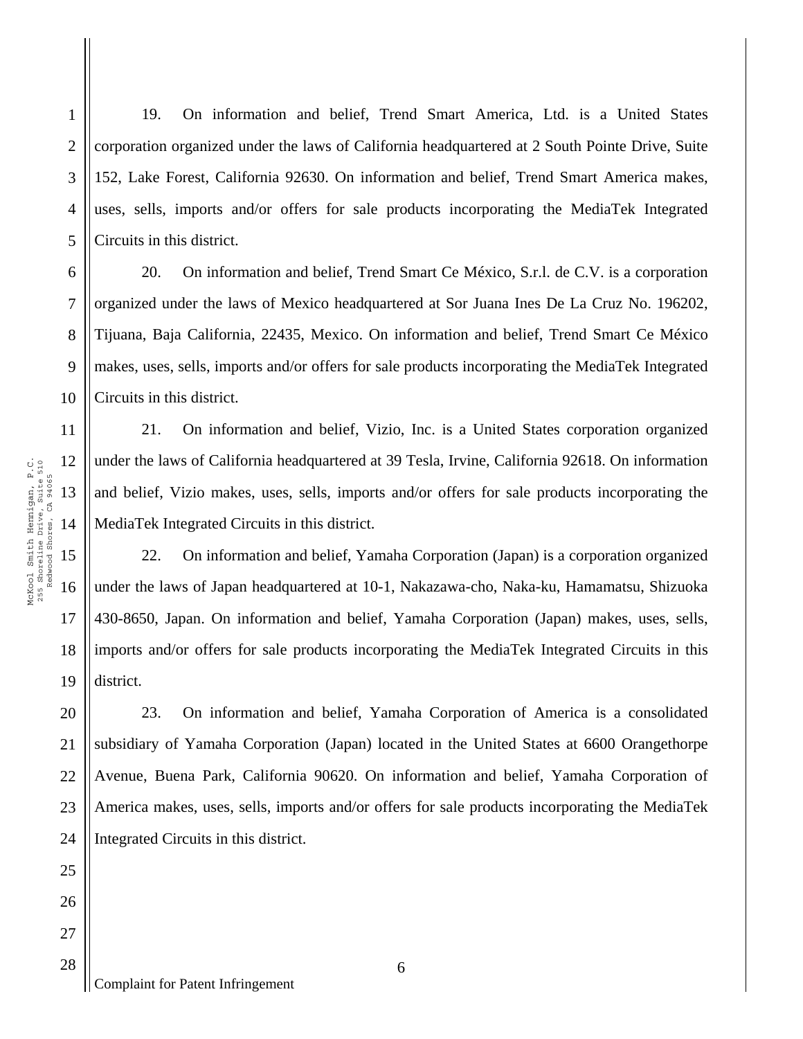19. On information and belief, Trend Smart America, Ltd. is a United States corporation organized under the laws of California headquartered at 2 South Pointe Drive, Suite 152, Lake Forest, California 92630. On information and belief, Trend Smart America makes, uses, sells, imports and/or offers for sale products incorporating the MediaTek Integrated Circuits in this district.

6 8 10 20. On information and belief, Trend Smart Ce México, S.r.l. de C.V. is a corporation organized under the laws of Mexico headquartered at Sor Juana Ines De La Cruz No. 196202, Tijuana, Baja California, 22435, Mexico. On information and belief, Trend Smart Ce México makes, uses, sells, imports and/or offers for sale products incorporating the MediaTek Integrated Circuits in this district.

21. On information and belief, Vizio, Inc. is a United States corporation organized under the laws of California headquartered at 39 Tesla, Irvine, California 92618. On information and belief, Vizio makes, uses, sells, imports and/or offers for sale products incorporating the MediaTek Integrated Circuits in this district.

22. On information and belief, Yamaha Corporation (Japan) is a corporation organized under the laws of Japan headquartered at 10-1, Nakazawa-cho, Naka-ku, Hamamatsu, Shizuoka 430-8650, Japan. On information and belief, Yamaha Corporation (Japan) makes, uses, sells, imports and/or offers for sale products incorporating the MediaTek Integrated Circuits in this district.

20 21 22 23 24 23. On information and belief, Yamaha Corporation of America is a consolidated subsidiary of Yamaha Corporation (Japan) located in the United States at 6600 Orangethorpe Avenue, Buena Park, California 90620. On information and belief, Yamaha Corporation of America makes, uses, sells, imports and/or offers for sale products incorporating the MediaTek Integrated Circuits in this district.

1

2

3

4

5

7

9

11

17

18

19

25

26

27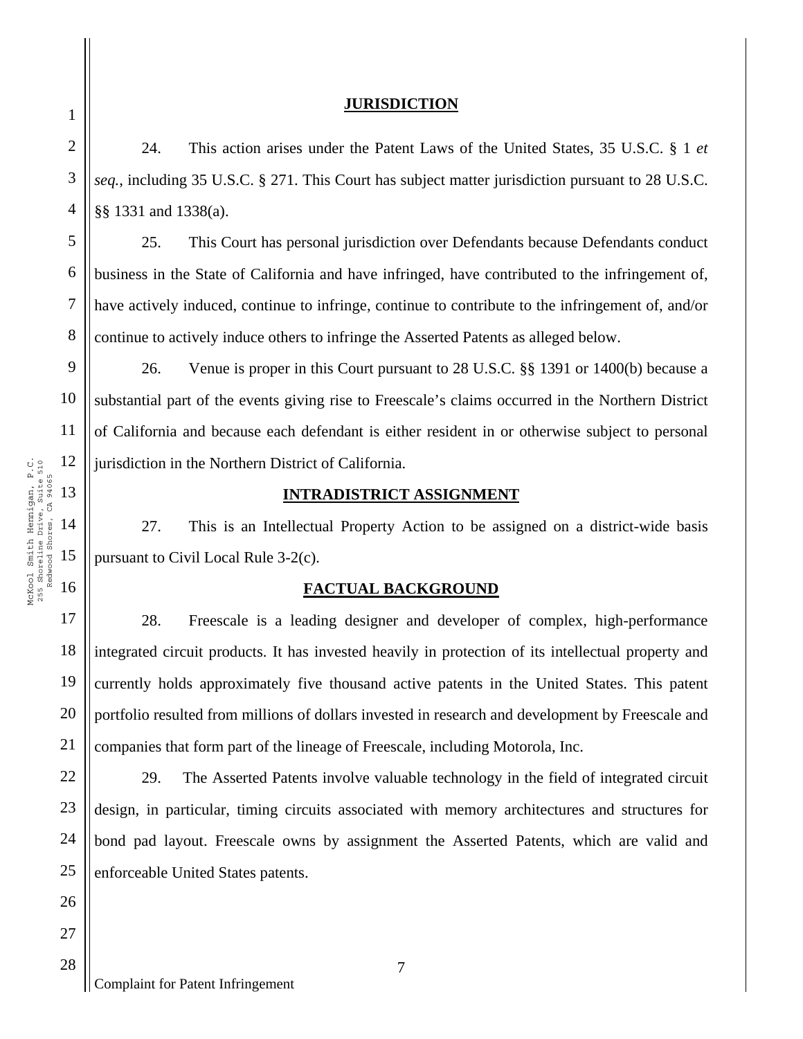#### **JURISDICTION**

24. This action arises under the Patent Laws of the United States, 35 U.S.C. § 1 *et seq.*, including 35 U.S.C. § 271. This Court has subject matter jurisdiction pursuant to 28 U.S.C. §§ 1331 and 1338(a).

25. This Court has personal jurisdiction over Defendants because Defendants conduct business in the State of California and have infringed, have contributed to the infringement of, have actively induced, continue to infringe, continue to contribute to the infringement of, and/or continue to actively induce others to infringe the Asserted Patents as alleged below.

9 10 26. Venue is proper in this Court pursuant to 28 U.S.C. §§ 1391 or 1400(b) because a substantial part of the events giving rise to Freescale's claims occurred in the Northern District of California and because each defendant is either resident in or otherwise subject to personal jurisdiction in the Northern District of California.

# **INTRADISTRICT ASSIGNMENT**

27. This is an Intellectual Property Action to be assigned on a district-wide basis pursuant to Civil Local Rule 3-2(c).

# **FACTUAL BACKGROUND**

28. Freescale is a leading designer and developer of complex, high-performance integrated circuit products. It has invested heavily in protection of its intellectual property and currently holds approximately five thousand active patents in the United States. This patent portfolio resulted from millions of dollars invested in research and development by Freescale and companies that form part of the lineage of Freescale, including Motorola, Inc.

22 24 25 29. The Asserted Patents involve valuable technology in the field of integrated circuit design, in particular, timing circuits associated with memory architectures and structures for bond pad layout. Freescale owns by assignment the Asserted Patents, which are valid and enforceable United States patents.

1

2

3

4

5

6

7

8

11

17

18

19

20

21

23

27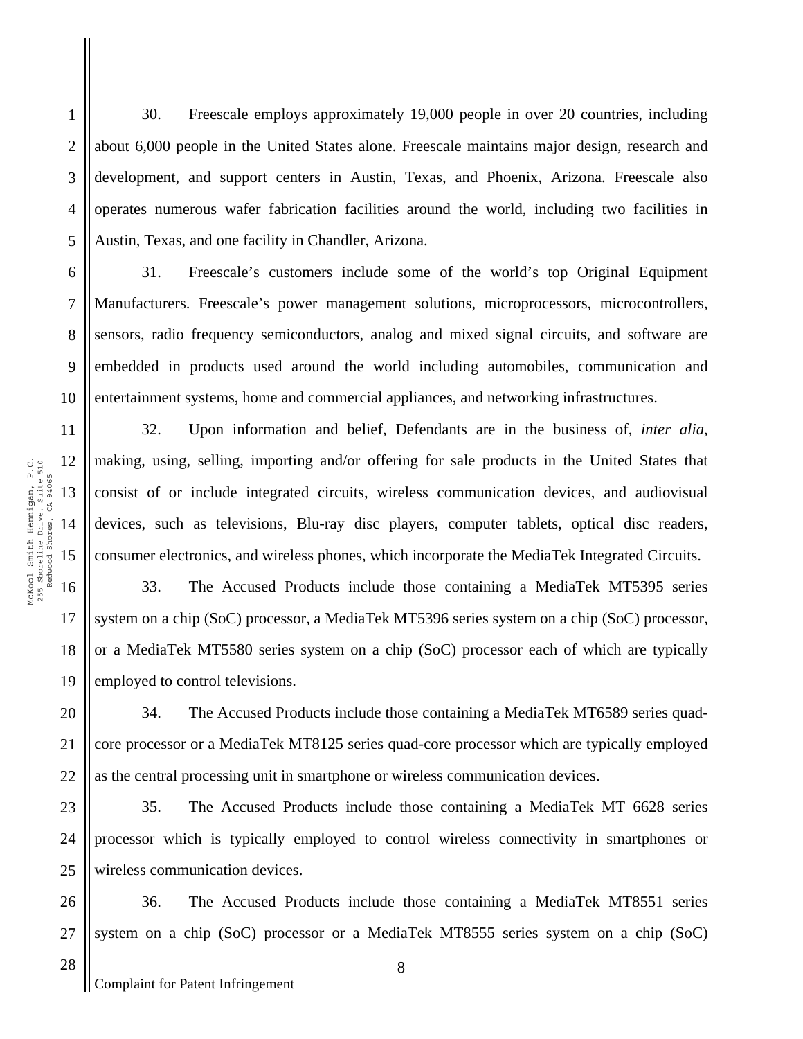30. Freescale employs approximately 19,000 people in over 20 countries, including about 6,000 people in the United States alone. Freescale maintains major design, research and development, and support centers in Austin, Texas, and Phoenix, Arizona. Freescale also operates numerous wafer fabrication facilities around the world, including two facilities in Austin, Texas, and one facility in Chandler, Arizona.

31. Freescale's customers include some of the world's top Original Equipment Manufacturers. Freescale's power management solutions, microprocessors, microcontrollers, sensors, radio frequency semiconductors, analog and mixed signal circuits, and software are embedded in products used around the world including automobiles, communication and entertainment systems, home and commercial appliances, and networking infrastructures.

32. Upon information and belief, Defendants are in the business of, *inter alia*, making, using, selling, importing and/or offering for sale products in the United States that consist of or include integrated circuits, wireless communication devices, and audiovisual devices, such as televisions, Blu-ray disc players, computer tablets, optical disc readers, consumer electronics, and wireless phones, which incorporate the MediaTek Integrated Circuits.

16 18 19 33. The Accused Products include those containing a MediaTek MT5395 series system on a chip (SoC) processor, a MediaTek MT5396 series system on a chip (SoC) processor, or a MediaTek MT5580 series system on a chip (SoC) processor each of which are typically employed to control televisions.

20 21 22 34. The Accused Products include those containing a MediaTek MT6589 series quadcore processor or a MediaTek MT8125 series quad-core processor which are typically employed as the central processing unit in smartphone or wireless communication devices.

23 24 25 35. The Accused Products include those containing a MediaTek MT 6628 series processor which is typically employed to control wireless connectivity in smartphones or wireless communication devices.

26 27 36. The Accused Products include those containing a MediaTek MT8551 series system on a chip (SoC) processor or a MediaTek MT8555 series system on a chip (SoC)

1

2

3

4

5

6

7

8

9

10

11

12

13

14

15

17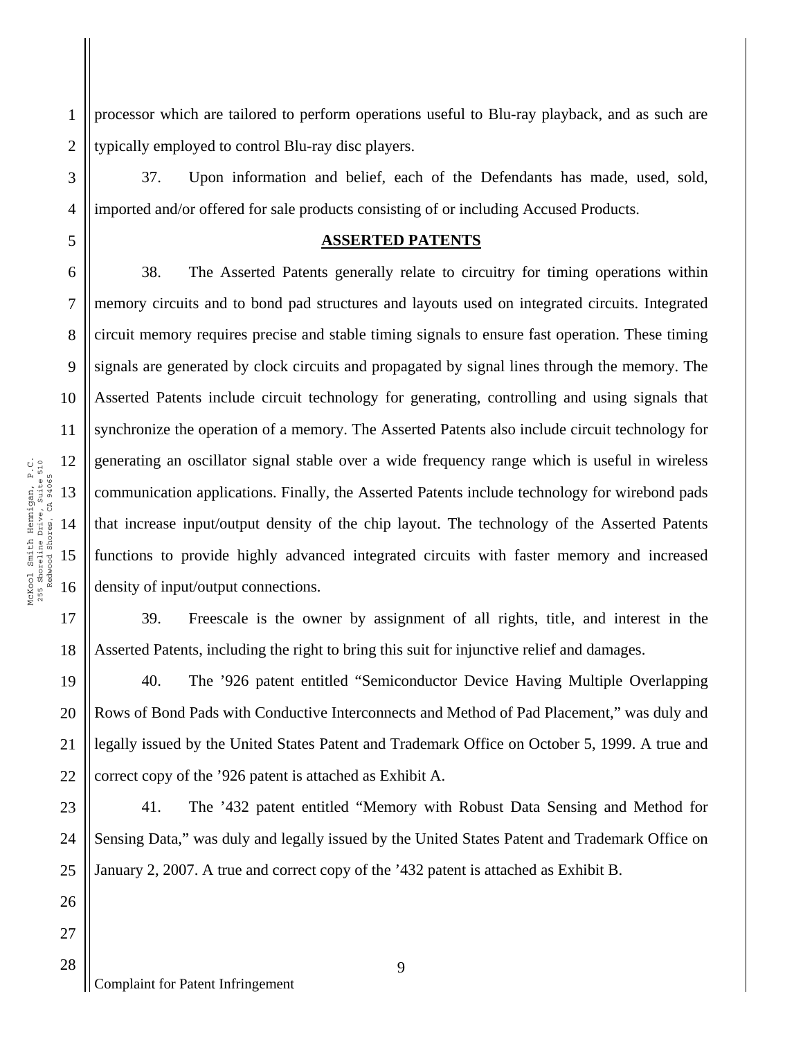1 2 processor which are tailored to perform operations useful to Blu-ray playback, and as such are typically employed to control Blu-ray disc players.

37. Upon information and belief, each of the Defendants has made, used, sold, imported and/or offered for sale products consisting of or including Accused Products.

### **ASSERTED PATENTS**

38. The Asserted Patents generally relate to circuitry for timing operations within memory circuits and to bond pad structures and layouts used on integrated circuits. Integrated circuit memory requires precise and stable timing signals to ensure fast operation. These timing signals are generated by clock circuits and propagated by signal lines through the memory. The Asserted Patents include circuit technology for generating, controlling and using signals that synchronize the operation of a memory. The Asserted Patents also include circuit technology for generating an oscillator signal stable over a wide frequency range which is useful in wireless communication applications. Finally, the Asserted Patents include technology for wirebond pads that increase input/output density of the chip layout. The technology of the Asserted Patents functions to provide highly advanced integrated circuits with faster memory and increased density of input/output connections.

18 39. Freescale is the owner by assignment of all rights, title, and interest in the Asserted Patents, including the right to bring this suit for injunctive relief and damages.

19 20 21 22 40. The '926 patent entitled "Semiconductor Device Having Multiple Overlapping Rows of Bond Pads with Conductive Interconnects and Method of Pad Placement," was duly and legally issued by the United States Patent and Trademark Office on October 5, 1999. A true and correct copy of the '926 patent is attached as Exhibit A.

23 24 25 41. The '432 patent entitled "Memory with Robust Data Sensing and Method for Sensing Data," was duly and legally issued by the United States Patent and Trademark Office on January 2, 2007. A true and correct copy of the '432 patent is attached as Exhibit B.

3

4

5

6

7

8

9

10

11

17

26

27

28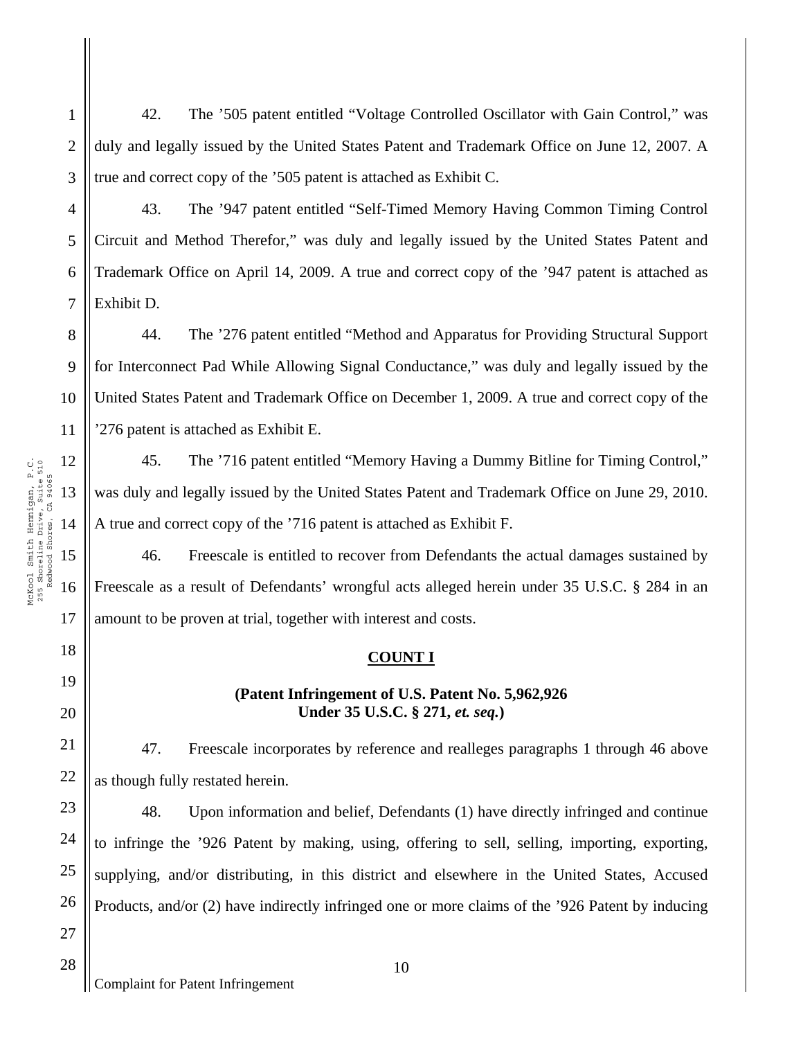42. The '505 patent entitled "Voltage Controlled Oscillator with Gain Control," was duly and legally issued by the United States Patent and Trademark Office on June 12, 2007. A true and correct copy of the '505 patent is attached as Exhibit C.

43. The '947 patent entitled "Self-Timed Memory Having Common Timing Control Circuit and Method Therefor," was duly and legally issued by the United States Patent and Trademark Office on April 14, 2009. A true and correct copy of the '947 patent is attached as Exhibit D.

8 9 10 11 44. The '276 patent entitled "Method and Apparatus for Providing Structural Support for Interconnect Pad While Allowing Signal Conductance," was duly and legally issued by the United States Patent and Trademark Office on December 1, 2009. A true and correct copy of the '276 patent is attached as Exhibit E.

45. The '716 patent entitled "Memory Having a Dummy Bitline for Timing Control," was duly and legally issued by the United States Patent and Trademark Office on June 29, 2010. A true and correct copy of the '716 patent is attached as Exhibit F.

46. Freescale is entitled to recover from Defendants the actual damages sustained by Freescale as a result of Defendants' wrongful acts alleged herein under 35 U.S.C. § 284 in an amount to be proven at trial, together with interest and costs.

# **COUNT I**

### **(Patent Infringement of U.S. Patent No. 5,962,926 Under 35 U.S.C. § 271,** *et. seq.***)**

47. Freescale incorporates by reference and realleges paragraphs 1 through 46 above as though fully restated herein.

48. Upon information and belief, Defendants (1) have directly infringed and continue to infringe the '926 Patent by making, using, offering to sell, selling, importing, exporting, supplying, and/or distributing, in this district and elsewhere in the United States, Accused Products, and/or (2) have indirectly infringed one or more claims of the '926 Patent by inducing

17

18

19

20

21

22

23

24

25

26

27

28

1

2

3

4

5

6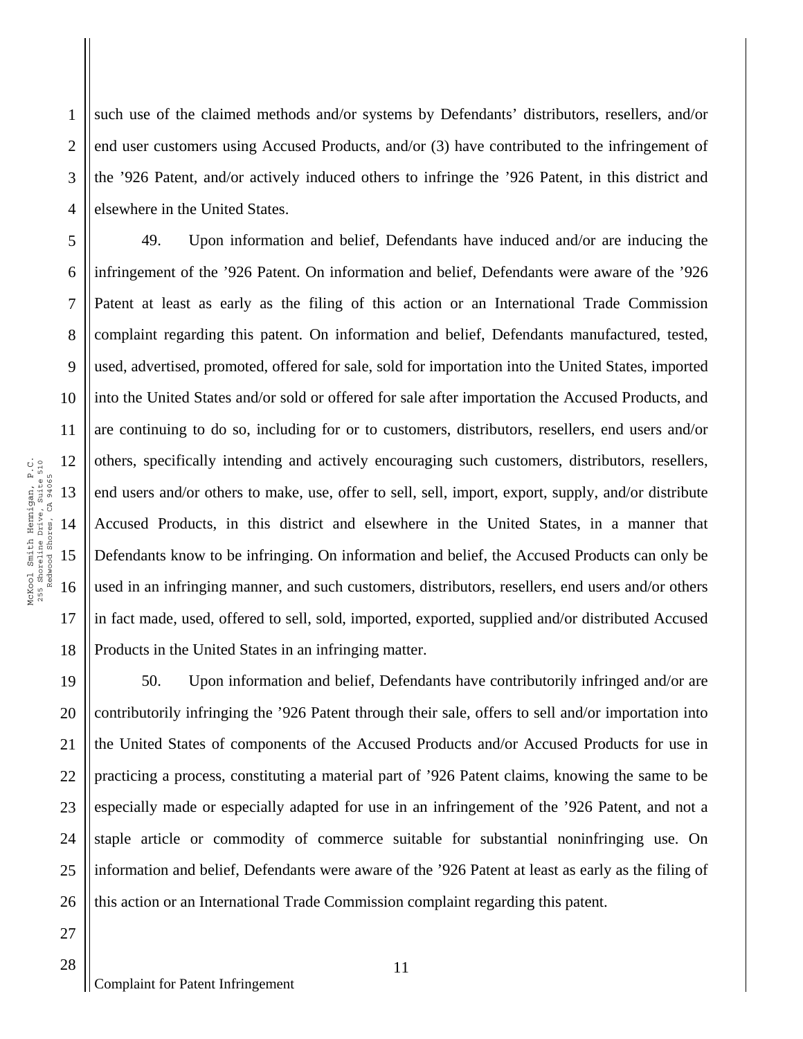1 2 3 4 such use of the claimed methods and/or systems by Defendants' distributors, resellers, and/or end user customers using Accused Products, and/or (3) have contributed to the infringement of the '926 Patent, and/or actively induced others to infringe the '926 Patent, in this district and elsewhere in the United States.

10 18 49. Upon information and belief, Defendants have induced and/or are inducing the infringement of the '926 Patent. On information and belief, Defendants were aware of the '926 Patent at least as early as the filing of this action or an International Trade Commission complaint regarding this patent. On information and belief, Defendants manufactured, tested, used, advertised, promoted, offered for sale, sold for importation into the United States, imported into the United States and/or sold or offered for sale after importation the Accused Products, and are continuing to do so, including for or to customers, distributors, resellers, end users and/or others, specifically intending and actively encouraging such customers, distributors, resellers, end users and/or others to make, use, offer to sell, sell, import, export, supply, and/or distribute Accused Products, in this district and elsewhere in the United States, in a manner that Defendants know to be infringing. On information and belief, the Accused Products can only be used in an infringing manner, and such customers, distributors, resellers, end users and/or others in fact made, used, offered to sell, sold, imported, exported, supplied and/or distributed Accused Products in the United States in an infringing matter.

19 20 21 22 23 24 25 26 50. Upon information and belief, Defendants have contributorily infringed and/or are contributorily infringing the '926 Patent through their sale, offers to sell and/or importation into the United States of components of the Accused Products and/or Accused Products for use in practicing a process, constituting a material part of '926 Patent claims, knowing the same to be especially made or especially adapted for use in an infringement of the '926 Patent, and not a staple article or commodity of commerce suitable for substantial noninfringing use. On information and belief, Defendants were aware of the '926 Patent at least as early as the filing of this action or an International Trade Commission complaint regarding this patent.

5

6

7

8

9

11

17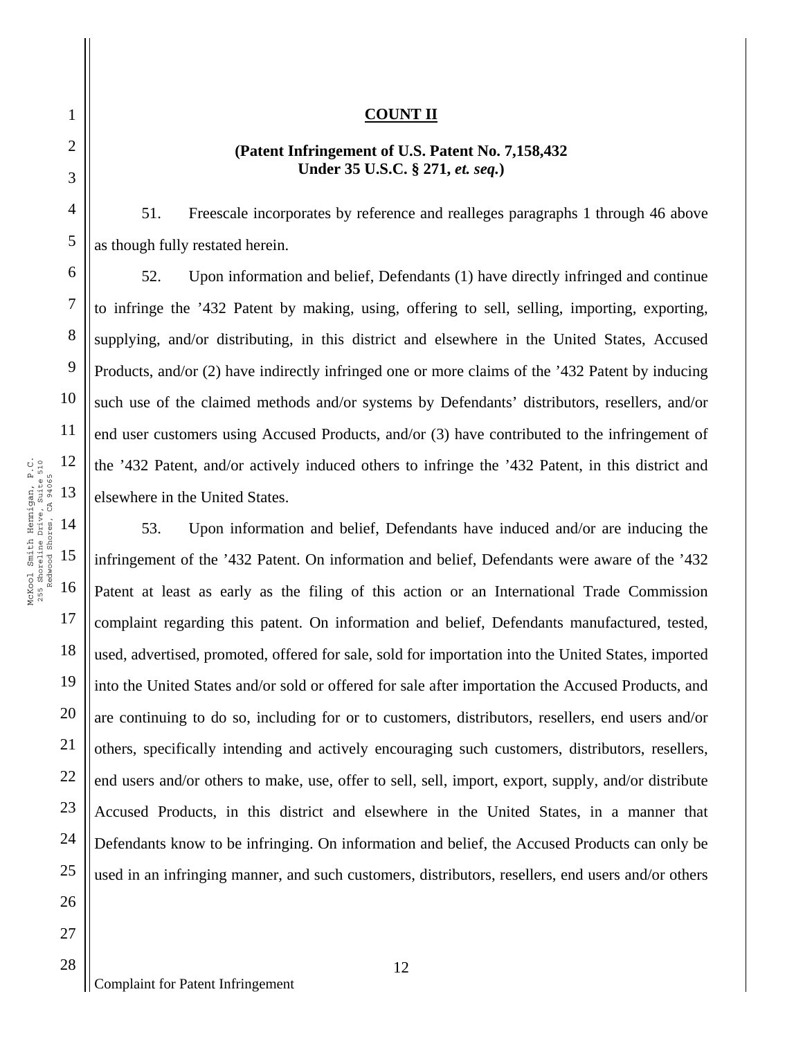# **(Patent Infringement of U.S. Patent No. 7,158,432 Under 35 U.S.C. § 271,** *et. seq.***)**

51. Freescale incorporates by reference and realleges paragraphs 1 through 46 above as though fully restated herein.

52. Upon information and belief, Defendants (1) have directly infringed and continue to infringe the '432 Patent by making, using, offering to sell, selling, importing, exporting, supplying, and/or distributing, in this district and elsewhere in the United States, Accused Products, and/or (2) have indirectly infringed one or more claims of the '432 Patent by inducing such use of the claimed methods and/or systems by Defendants' distributors, resellers, and/or end user customers using Accused Products, and/or (3) have contributed to the infringement of the '432 Patent, and/or actively induced others to infringe the '432 Patent, in this district and elsewhere in the United States.

53. Upon information and belief, Defendants have induced and/or are inducing the infringement of the '432 Patent. On information and belief, Defendants were aware of the '432 Patent at least as early as the filing of this action or an International Trade Commission complaint regarding this patent. On information and belief, Defendants manufactured, tested, used, advertised, promoted, offered for sale, sold for importation into the United States, imported into the United States and/or sold or offered for sale after importation the Accused Products, and are continuing to do so, including for or to customers, distributors, resellers, end users and/or others, specifically intending and actively encouraging such customers, distributors, resellers, end users and/or others to make, use, offer to sell, sell, import, export, supply, and/or distribute Accused Products, in this district and elsewhere in the United States, in a manner that Defendants know to be infringing. On information and belief, the Accused Products can only be used in an infringing manner, and such customers, distributors, resellers, end users and/or others

1

2

3

4

5

6

7

8

9

10

11

17

18

19

20

21

22

23

24

25

26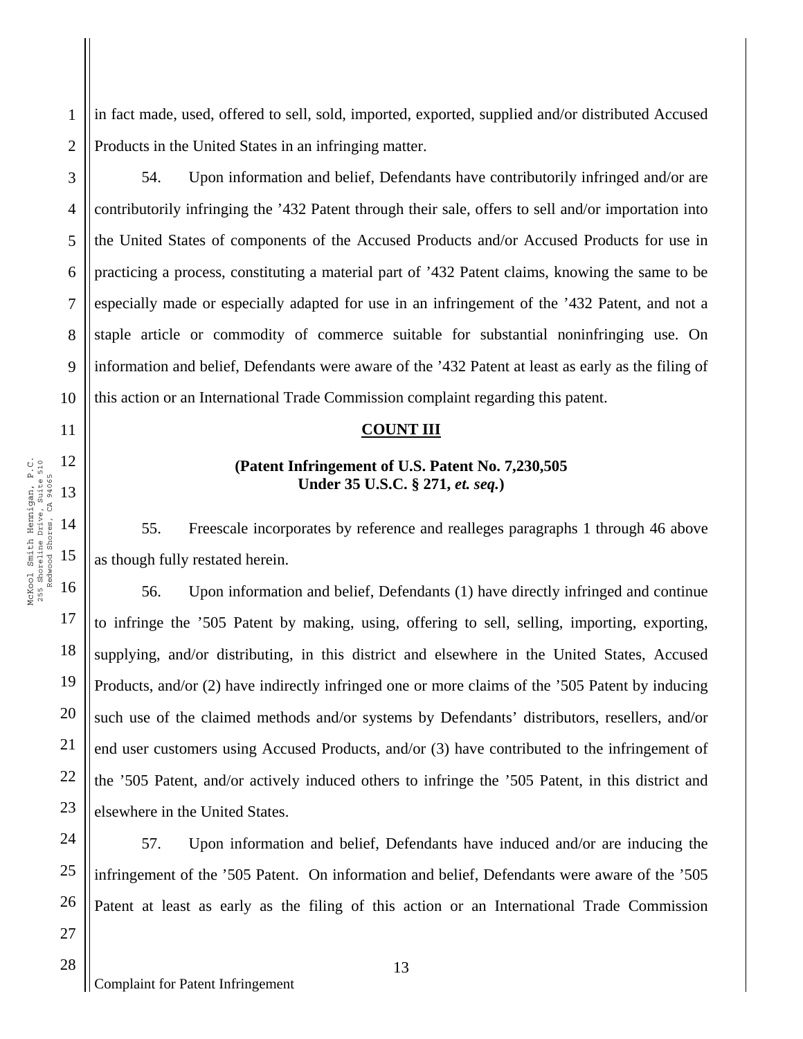2 in fact made, used, offered to sell, sold, imported, exported, supplied and/or distributed Accused Products in the United States in an infringing matter.

54. Upon information and belief, Defendants have contributorily infringed and/or are contributorily infringing the '432 Patent through their sale, offers to sell and/or importation into the United States of components of the Accused Products and/or Accused Products for use in practicing a process, constituting a material part of '432 Patent claims, knowing the same to be especially made or especially adapted for use in an infringement of the '432 Patent, and not a staple article or commodity of commerce suitable for substantial noninfringing use. On information and belief, Defendants were aware of the '432 Patent at least as early as the filing of this action or an International Trade Commission complaint regarding this patent.

#### **COUNT III**

# **(Patent Infringement of U.S. Patent No. 7,230,505 Under 35 U.S.C. § 271,** *et. seq.***)**

55. Freescale incorporates by reference and realleges paragraphs 1 through 46 above as though fully restated herein.

56. Upon information and belief, Defendants (1) have directly infringed and continue to infringe the '505 Patent by making, using, offering to sell, selling, importing, exporting, supplying, and/or distributing, in this district and elsewhere in the United States, Accused Products, and/or (2) have indirectly infringed one or more claims of the '505 Patent by inducing such use of the claimed methods and/or systems by Defendants' distributors, resellers, and/or end user customers using Accused Products, and/or (3) have contributed to the infringement of the '505 Patent, and/or actively induced others to infringe the '505 Patent, in this district and elsewhere in the United States.

24 25 26 57. Upon information and belief, Defendants have induced and/or are inducing the infringement of the '505 Patent. On information and belief, Defendants were aware of the '505 Patent at least as early as the filing of this action or an International Trade Commission

1

3

4

5

6

7

8

9

10

11

17

18

19

20

21

22

23

27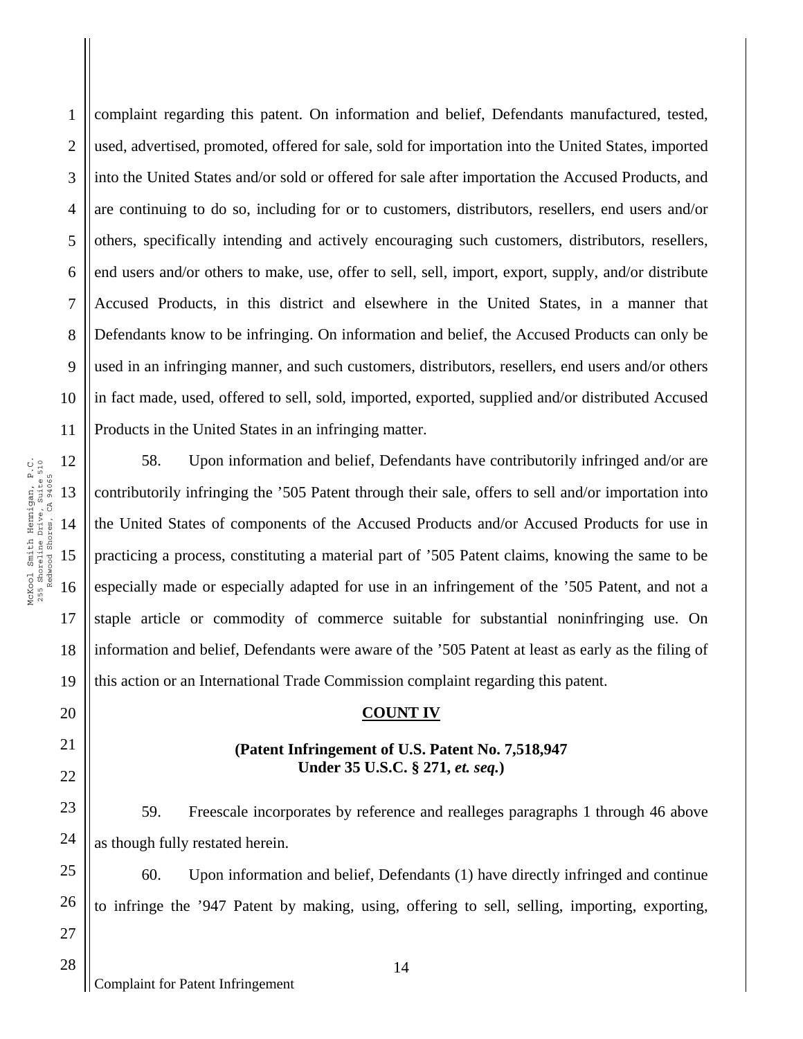1 2 3 4 5 6 7 8 9 10 11 complaint regarding this patent. On information and belief, Defendants manufactured, tested, used, advertised, promoted, offered for sale, sold for importation into the United States, imported into the United States and/or sold or offered for sale after importation the Accused Products, and are continuing to do so, including for or to customers, distributors, resellers, end users and/or others, specifically intending and actively encouraging such customers, distributors, resellers, end users and/or others to make, use, offer to sell, sell, import, export, supply, and/or distribute Accused Products, in this district and elsewhere in the United States, in a manner that Defendants know to be infringing. On information and belief, the Accused Products can only be used in an infringing manner, and such customers, distributors, resellers, end users and/or others in fact made, used, offered to sell, sold, imported, exported, supplied and/or distributed Accused Products in the United States in an infringing matter.

58. Upon information and belief, Defendants have contributorily infringed and/or are contributorily infringing the '505 Patent through their sale, offers to sell and/or importation into the United States of components of the Accused Products and/or Accused Products for use in practicing a process, constituting a material part of '505 Patent claims, knowing the same to be especially made or especially adapted for use in an infringement of the '505 Patent, and not a staple article or commodity of commerce suitable for substantial noninfringing use. On information and belief, Defendants were aware of the '505 Patent at least as early as the filing of this action or an International Trade Commission complaint regarding this patent.

#### **COUNT IV**

#### **(Patent Infringement of U.S. Patent No. 7,518,947 Under 35 U.S.C. § 271,** *et. seq.***)**

59. Freescale incorporates by reference and realleges paragraphs 1 through 46 above as though fully restated herein.

60. Upon information and belief, Defendants (1) have directly infringed and continue to infringe the '947 Patent by making, using, offering to sell, selling, importing, exporting,

17

18

19

20

21

22

23

24

25

26

27

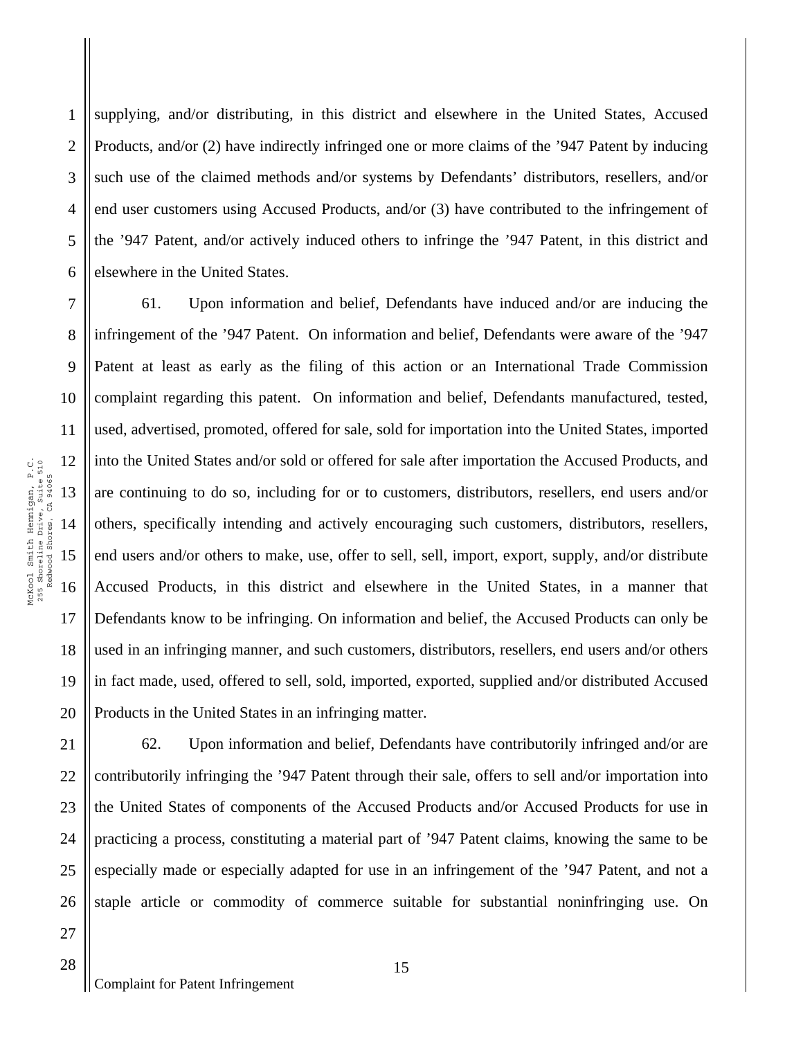1 2 3 4 5 6 supplying, and/or distributing, in this district and elsewhere in the United States, Accused Products, and/or (2) have indirectly infringed one or more claims of the '947 Patent by inducing such use of the claimed methods and/or systems by Defendants' distributors, resellers, and/or end user customers using Accused Products, and/or (3) have contributed to the infringement of the '947 Patent, and/or actively induced others to infringe the '947 Patent, in this district and elsewhere in the United States.

7 8 9 10 11 12 14 15 16 17 18 19 20 61. Upon information and belief, Defendants have induced and/or are inducing the infringement of the '947 Patent. On information and belief, Defendants were aware of the '947 Patent at least as early as the filing of this action or an International Trade Commission complaint regarding this patent. On information and belief, Defendants manufactured, tested, used, advertised, promoted, offered for sale, sold for importation into the United States, imported into the United States and/or sold or offered for sale after importation the Accused Products, and are continuing to do so, including for or to customers, distributors, resellers, end users and/or others, specifically intending and actively encouraging such customers, distributors, resellers, end users and/or others to make, use, offer to sell, sell, import, export, supply, and/or distribute Accused Products, in this district and elsewhere in the United States, in a manner that Defendants know to be infringing. On information and belief, the Accused Products can only be used in an infringing manner, and such customers, distributors, resellers, end users and/or others in fact made, used, offered to sell, sold, imported, exported, supplied and/or distributed Accused Products in the United States in an infringing matter.

26 62. Upon information and belief, Defendants have contributorily infringed and/or are contributorily infringing the '947 Patent through their sale, offers to sell and/or importation into the United States of components of the Accused Products and/or Accused Products for use in practicing a process, constituting a material part of '947 Patent claims, knowing the same to be especially made or especially adapted for use in an infringement of the '947 Patent, and not a staple article or commodity of commerce suitable for substantial noninfringing use. On

21

22

23

24

25

27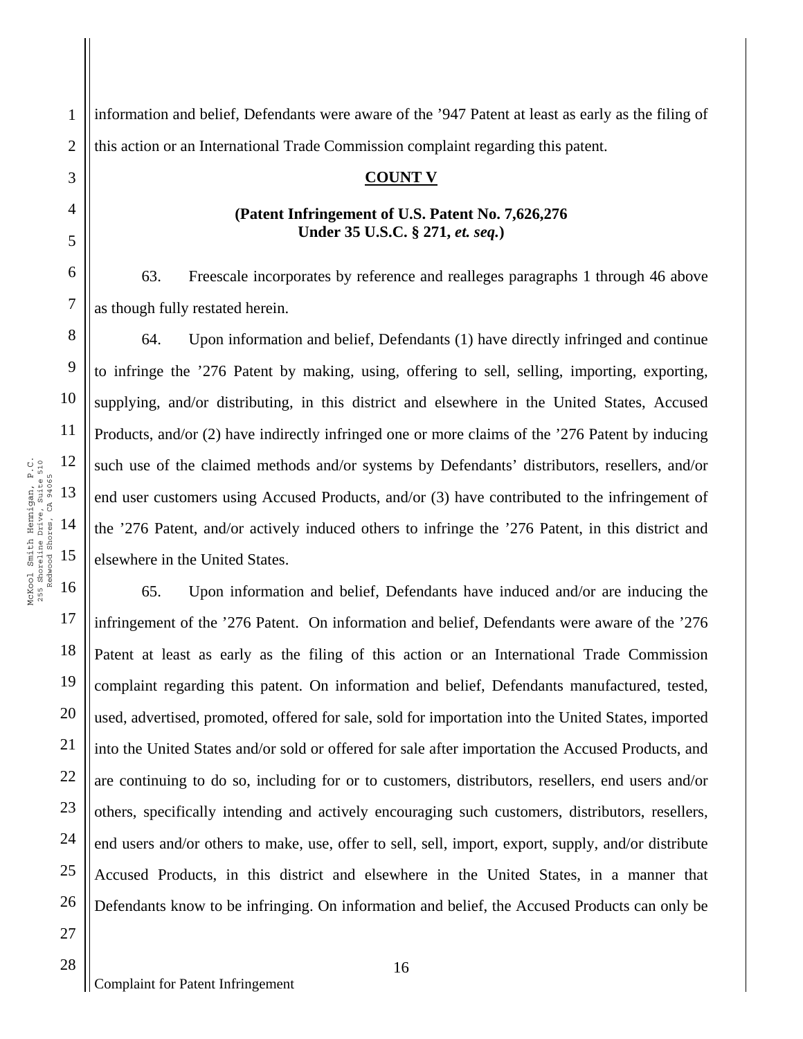1 2 information and belief, Defendants were aware of the '947 Patent at least as early as the filing of this action or an International Trade Commission complaint regarding this patent.

# **COUNT V**

### **(Patent Infringement of U.S. Patent No. 7,626,276 Under 35 U.S.C. § 271,** *et. seq.***)**

63. Freescale incorporates by reference and realleges paragraphs 1 through 46 above as though fully restated herein.

64. Upon information and belief, Defendants (1) have directly infringed and continue to infringe the '276 Patent by making, using, offering to sell, selling, importing, exporting, supplying, and/or distributing, in this district and elsewhere in the United States, Accused Products, and/or (2) have indirectly infringed one or more claims of the '276 Patent by inducing such use of the claimed methods and/or systems by Defendants' distributors, resellers, and/or end user customers using Accused Products, and/or (3) have contributed to the infringement of the '276 Patent, and/or actively induced others to infringe the '276 Patent, in this district and elsewhere in the United States.

65. Upon information and belief, Defendants have induced and/or are inducing the infringement of the '276 Patent. On information and belief, Defendants were aware of the '276 Patent at least as early as the filing of this action or an International Trade Commission complaint regarding this patent. On information and belief, Defendants manufactured, tested, used, advertised, promoted, offered for sale, sold for importation into the United States, imported into the United States and/or sold or offered for sale after importation the Accused Products, and are continuing to do so, including for or to customers, distributors, resellers, end users and/or others, specifically intending and actively encouraging such customers, distributors, resellers, end users and/or others to make, use, offer to sell, sell, import, export, supply, and/or distribute Accused Products, in this district and elsewhere in the United States, in a manner that Defendants know to be infringing. On information and belief, the Accused Products can only be

17

18

19

20

21

22

23

24

25

26

27

3

4

5

6

7

8

9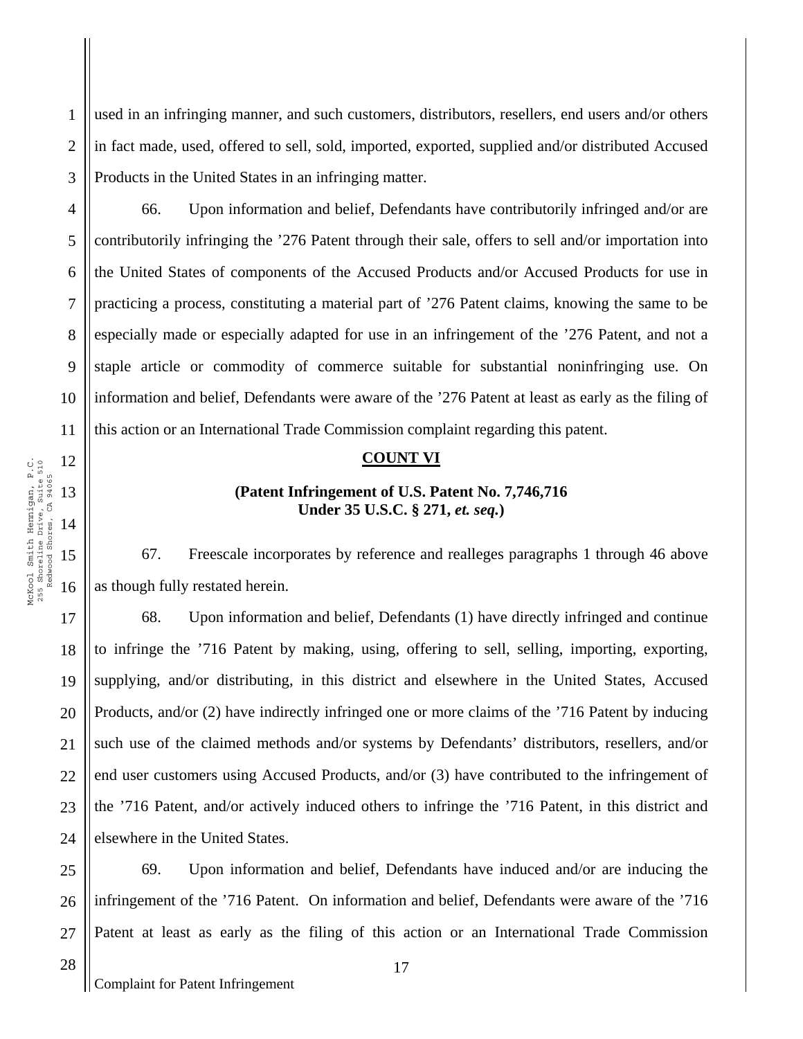1 2 3 used in an infringing manner, and such customers, distributors, resellers, end users and/or others in fact made, used, offered to sell, sold, imported, exported, supplied and/or distributed Accused Products in the United States in an infringing matter.

4 6 10 66. Upon information and belief, Defendants have contributorily infringed and/or are contributorily infringing the '276 Patent through their sale, offers to sell and/or importation into the United States of components of the Accused Products and/or Accused Products for use in practicing a process, constituting a material part of '276 Patent claims, knowing the same to be especially made or especially adapted for use in an infringement of the '276 Patent, and not a staple article or commodity of commerce suitable for substantial noninfringing use. On information and belief, Defendants were aware of the '276 Patent at least as early as the filing of this action or an International Trade Commission complaint regarding this patent.

# **COUNT VI**

# **(Patent Infringement of U.S. Patent No. 7,746,716 Under 35 U.S.C. § 271,** *et. seq.***)**

67. Freescale incorporates by reference and realleges paragraphs 1 through 46 above as though fully restated herein.

18 19 20 21 22 23 24 68. Upon information and belief, Defendants (1) have directly infringed and continue to infringe the '716 Patent by making, using, offering to sell, selling, importing, exporting, supplying, and/or distributing, in this district and elsewhere in the United States, Accused Products, and/or (2) have indirectly infringed one or more claims of the '716 Patent by inducing such use of the claimed methods and/or systems by Defendants' distributors, resellers, and/or end user customers using Accused Products, and/or (3) have contributed to the infringement of the '716 Patent, and/or actively induced others to infringe the '716 Patent, in this district and elsewhere in the United States.

25 26 27 69. Upon information and belief, Defendants have induced and/or are inducing the infringement of the '716 Patent. On information and belief, Defendants were aware of the '716 Patent at least as early as the filing of this action or an International Trade Commission

28

5

7

8

9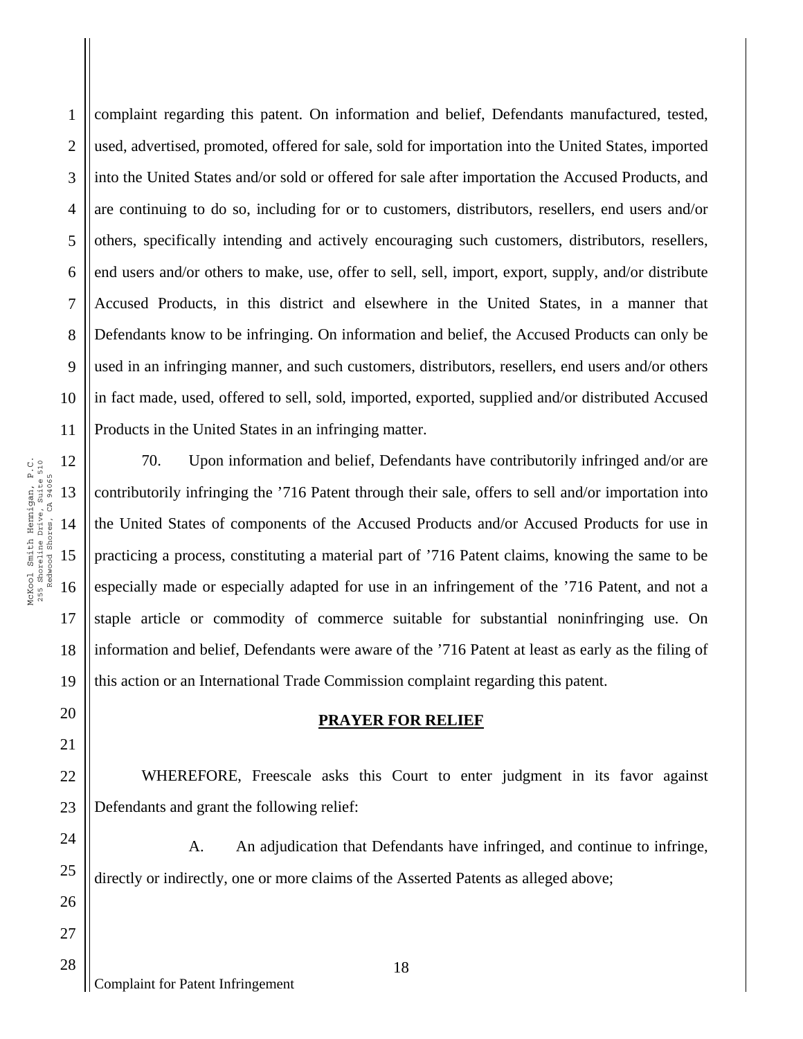1 2 3 4 5 6 7 8 9 10 11 complaint regarding this patent. On information and belief, Defendants manufactured, tested, used, advertised, promoted, offered for sale, sold for importation into the United States, imported into the United States and/or sold or offered for sale after importation the Accused Products, and are continuing to do so, including for or to customers, distributors, resellers, end users and/or others, specifically intending and actively encouraging such customers, distributors, resellers, end users and/or others to make, use, offer to sell, sell, import, export, supply, and/or distribute Accused Products, in this district and elsewhere in the United States, in a manner that Defendants know to be infringing. On information and belief, the Accused Products can only be used in an infringing manner, and such customers, distributors, resellers, end users and/or others in fact made, used, offered to sell, sold, imported, exported, supplied and/or distributed Accused Products in the United States in an infringing matter.

70. Upon information and belief, Defendants have contributorily infringed and/or are contributorily infringing the '716 Patent through their sale, offers to sell and/or importation into the United States of components of the Accused Products and/or Accused Products for use in practicing a process, constituting a material part of '716 Patent claims, knowing the same to be especially made or especially adapted for use in an infringement of the '716 Patent, and not a staple article or commodity of commerce suitable for substantial noninfringing use. On information and belief, Defendants were aware of the '716 Patent at least as early as the filing of this action or an International Trade Commission complaint regarding this patent.

### **PRAYER FOR RELIEF**

WHEREFORE, Freescale asks this Court to enter judgment in its favor against Defendants and grant the following relief:

A. An adjudication that Defendants have infringed, and continue to infringe, directly or indirectly, one or more claims of the Asserted Patents as alleged above;

McKool Smith Hennigan, P.C. 12 McKool Smith Hennigan, P.C.<br>255 Shoreline Drive, Suite 510<br>Redwood Shores, CA 94065 255 Shoreline Drive, Suite 510 Redwood Shores, CA 94065 13 14 15 16

17

18

19

20

21

22

23

24

25

26

27

28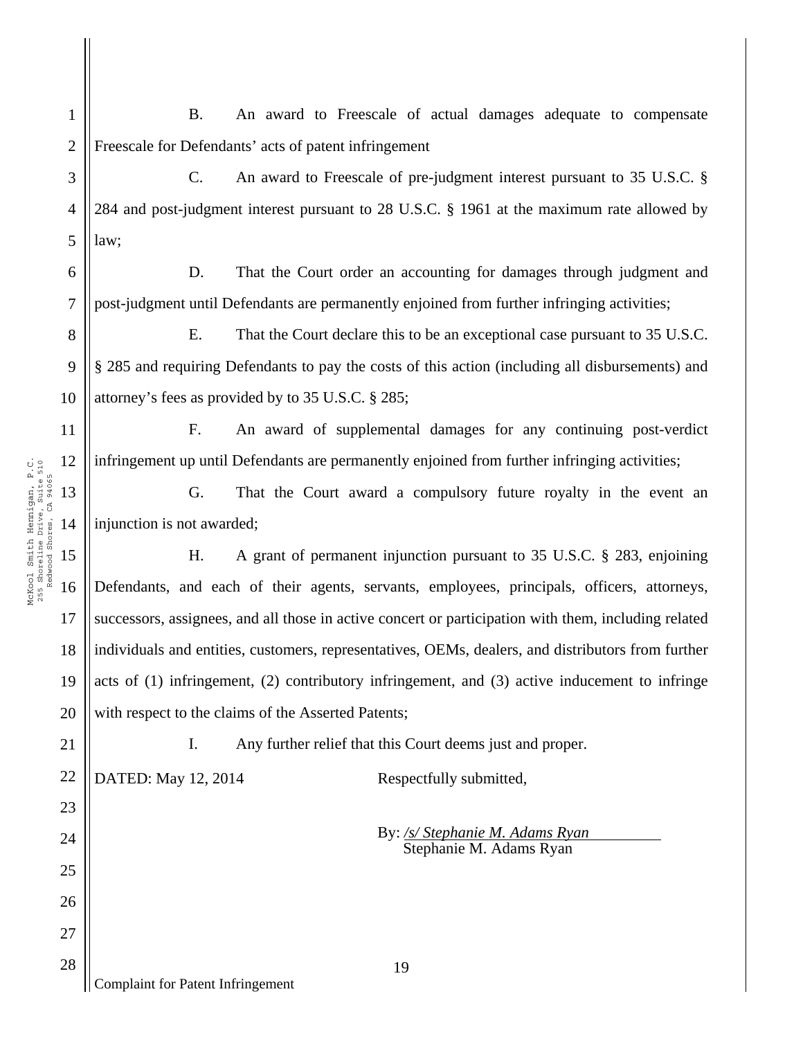1 2 B. An award to Freescale of actual damages adequate to compensate Freescale for Defendants' acts of patent infringement

3 4 5 C. An award to Freescale of pre-judgment interest pursuant to 35 U.S.C. § 284 and post-judgment interest pursuant to 28 U.S.C. § 1961 at the maximum rate allowed by law;

6 7 D. That the Court order an accounting for damages through judgment and post-judgment until Defendants are permanently enjoined from further infringing activities;

8 9 10 E. That the Court declare this to be an exceptional case pursuant to 35 U.S.C. § 285 and requiring Defendants to pay the costs of this action (including all disbursements) and attorney's fees as provided by to 35 U.S.C. § 285;

F. An award of supplemental damages for any continuing post-verdict infringement up until Defendants are permanently enjoined from further infringing activities;

G. That the Court award a compulsory future royalty in the event an injunction is not awarded;

16 18 19 20 H. A grant of permanent injunction pursuant to 35 U.S.C. § 283, enjoining Defendants, and each of their agents, servants, employees, principals, officers, attorneys, successors, assignees, and all those in active concert or participation with them, including related individuals and entities, customers, representatives, OEMs, dealers, and distributors from further acts of (1) infringement, (2) contributory infringement, and (3) active inducement to infringe with respect to the claims of the Asserted Patents;

21

22

23

24

25

26

27

28

11

12

13

14

McKool Smith Hennigan, P.C. 255 Shoreline Drive, Suite 510 Redwood Shores, CA 94065

McKool Smith Hennigan, P.C.<br>255 Shoreline Drive, Suite 510<br>Redwood Shores, CA 94065

15

17

I. Any further relief that this Court deems just and proper.

DATED: May 12, 2014 Respectfully submitted,

By: */s/ Stephanie M. Adams Ryan*  Stephanie M. Adams Ryan

Complaint for Patent Infringement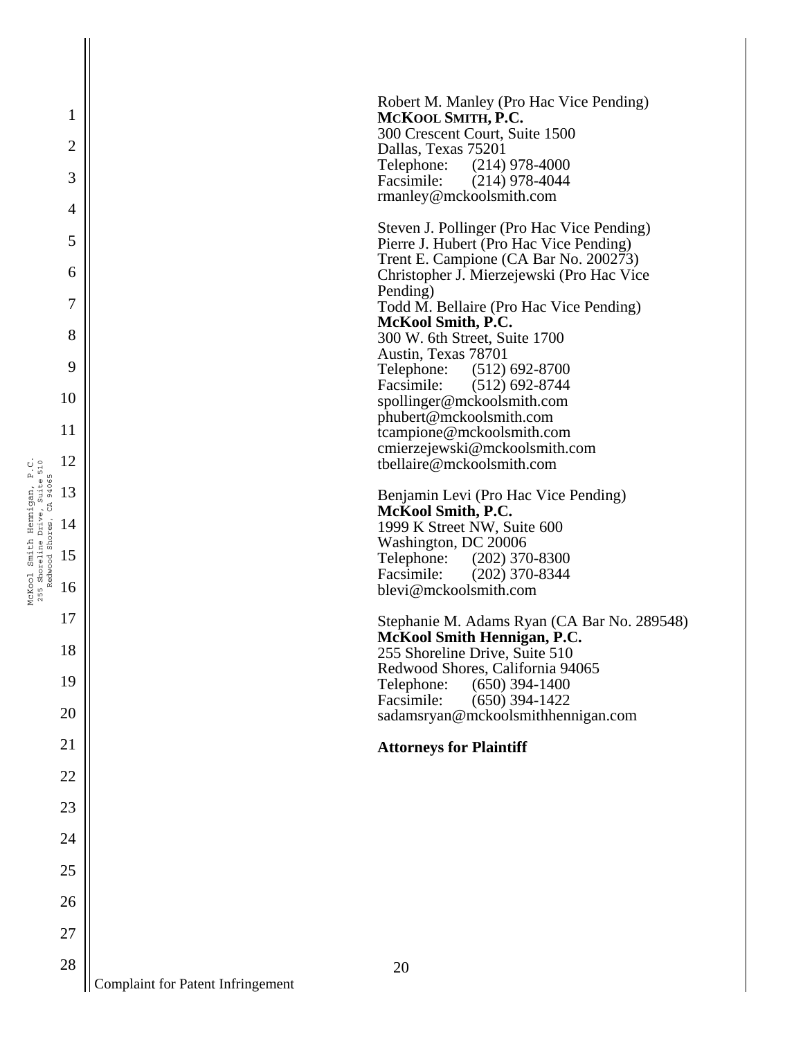| $\mathbf{1}$                 | Robert M. Manley (Pro Hac Vice Pending)<br>MCKOOL SMITH, P.C.                                    |
|------------------------------|--------------------------------------------------------------------------------------------------|
| $\overline{c}$               | 300 Crescent Court, Suite 1500<br>Dallas, Texas 75201                                            |
| 3                            | $(214)$ 978-4000<br>Telephone:<br>Facsimile:<br>$(214)$ 978-4044<br>rmanley@mckoolsmith.com      |
| 4<br>5                       | Steven J. Pollinger (Pro Hac Vice Pending)<br>Pierre J. Hubert (Pro Hac Vice Pending)            |
| 6                            | Trent E. Campione (CA Bar No. 200273)<br>Christopher J. Mierzejewski (Pro Hac Vice               |
| $\overline{7}$               | Pending)<br>Todd M. Bellaire (Pro Hac Vice Pending)                                              |
| 8                            | McKool Smith, P.C.<br>300 W. 6th Street, Suite 1700<br>Austin, Texas 78701                       |
| 9<br>10                      | $(512)$ 692-8700<br>Telephone:<br>Facsimile:<br>$(512) 692 - 8744$<br>spollinger@mckoolsmith.com |
| 11                           | phubert@mckoolsmith.com                                                                          |
| 12                           | tcampione@mckoolsmith.com<br>cmierzejewski@mckoolsmith.com<br>tbellaire@mckoolsmith.com          |
| gan, P.C.<br>Suite 510<br>13 | Benjamin Levi (Pro Hac Vice Pending)                                                             |
| Hennigan,<br>14              | McKool Smith, P.C.<br>1999 K Street NW, Suite 600                                                |
| Smith<br>15                  | Washington, DC 20006<br>Telephone:<br>$(202)$ 370-8300                                           |
| McKool<br>16                 | Facsimile:<br>$(202)$ 370-8344<br>blevi@mckoolsmith.com                                          |
| 17                           | Stephanie M. Adams Ryan (CA Bar No. 289548)                                                      |
| 18                           | <b>McKool Smith Hennigan, P.C.</b><br>255 Shoreline Drive, Suite 510                             |
| 19                           | Redwood Shores, California 94065<br>$(650)$ 394-1400<br>Telephone:                               |
| 20                           | Facsimile:<br>$(650)$ 394-1422<br>sadamsryan@mckoolsmithhennigan.com                             |
| 21                           | <b>Attorneys for Plaintiff</b>                                                                   |
| 22                           |                                                                                                  |
| 23                           |                                                                                                  |
| 24                           |                                                                                                  |
| 25                           |                                                                                                  |
| 26                           |                                                                                                  |
| 27                           |                                                                                                  |
| 28                           | 20                                                                                               |
|                              | Complaint for Patent Infringement                                                                |